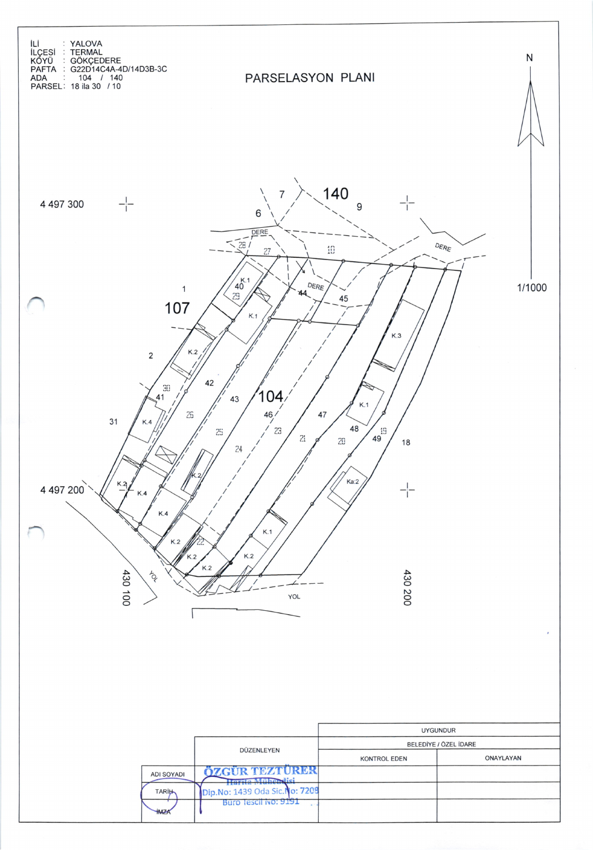